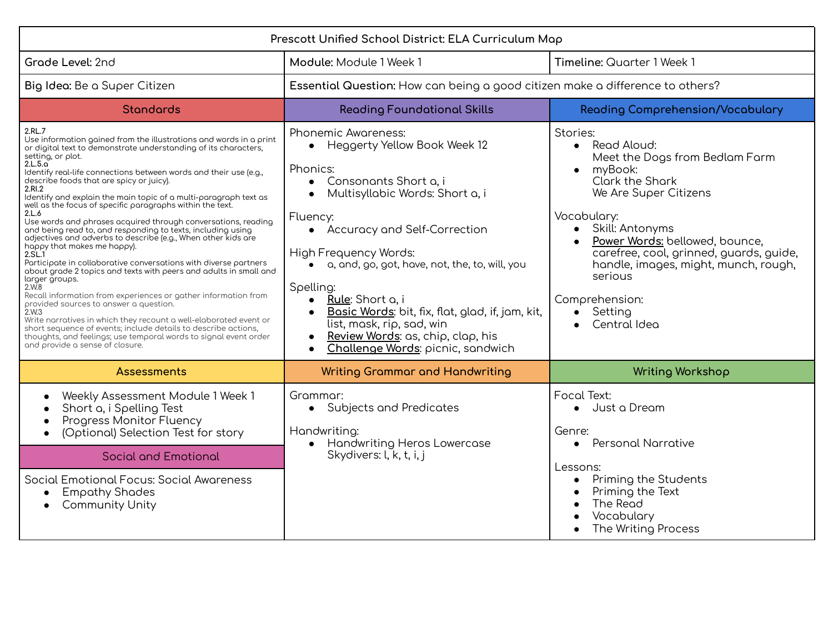| Prescott Unified School District: ELA Curriculum Map                                                                                                                                                                                                                                                                                                                                                                                                                                                                                                                                                                                                                                                                                                                                                                                                                                                                                                                                                                                                                                                                                                                                                                                  |                                                                                                                                                                                                                                                                                                                                                                                                                                                                                                                                       |                                                                                                                                                                                                                                                                                                                                                                          |
|---------------------------------------------------------------------------------------------------------------------------------------------------------------------------------------------------------------------------------------------------------------------------------------------------------------------------------------------------------------------------------------------------------------------------------------------------------------------------------------------------------------------------------------------------------------------------------------------------------------------------------------------------------------------------------------------------------------------------------------------------------------------------------------------------------------------------------------------------------------------------------------------------------------------------------------------------------------------------------------------------------------------------------------------------------------------------------------------------------------------------------------------------------------------------------------------------------------------------------------|---------------------------------------------------------------------------------------------------------------------------------------------------------------------------------------------------------------------------------------------------------------------------------------------------------------------------------------------------------------------------------------------------------------------------------------------------------------------------------------------------------------------------------------|--------------------------------------------------------------------------------------------------------------------------------------------------------------------------------------------------------------------------------------------------------------------------------------------------------------------------------------------------------------------------|
| Grade Level: 2nd                                                                                                                                                                                                                                                                                                                                                                                                                                                                                                                                                                                                                                                                                                                                                                                                                                                                                                                                                                                                                                                                                                                                                                                                                      | Module: Module 1 Week 1                                                                                                                                                                                                                                                                                                                                                                                                                                                                                                               | Timeline: Quarter 1 Week 1                                                                                                                                                                                                                                                                                                                                               |
| Big Idea: Be a Super Citizen                                                                                                                                                                                                                                                                                                                                                                                                                                                                                                                                                                                                                                                                                                                                                                                                                                                                                                                                                                                                                                                                                                                                                                                                          | Essential Question: How can being a good citizen make a difference to others?                                                                                                                                                                                                                                                                                                                                                                                                                                                         |                                                                                                                                                                                                                                                                                                                                                                          |
| <b>Standards</b>                                                                                                                                                                                                                                                                                                                                                                                                                                                                                                                                                                                                                                                                                                                                                                                                                                                                                                                                                                                                                                                                                                                                                                                                                      | <b>Reading Foundational Skills</b>                                                                                                                                                                                                                                                                                                                                                                                                                                                                                                    | Reading Comprehension/Vocabulary                                                                                                                                                                                                                                                                                                                                         |
| 2.RL.7<br>Use information gained from the illustrations and words in a print<br>or digital text to demonstrate understanding of its characters,<br>setting, or plot.<br>2.L.5.a<br>Identify real-life connections between words and their use (e.g.,<br>describe foods that are spicy or juicy).<br>2.RI.2<br>Identify and explain the main topic of a multi-paragraph text as<br>well as the focus of specific paragraphs within the text.<br>2.L.6<br>Use words and phrases acquired through conversations, reading<br>and being read to, and responding to texts, including using<br>adjectives and adverbs to describe (e.g., When other kids are<br>happy that makes me happy).<br>2.SL.1<br>Participate in collaborative conversations with diverse partners<br>about grade 2 topics and texts with peers and adults in small and<br>larger groups.<br>2.W.8<br>Recall information from experiences or gather information from<br>provided sources to answer a question.<br>2.W.3<br>Write narratives in which they recount a well-elaborated event or<br>short sequence of events; include details to describe actions,<br>thoughts, and feelings; use temporal words to signal event order<br>and provide a sense of closure. | <b>Phonemic Awareness:</b><br>Heggerty Yellow Book Week 12<br>$\bullet$<br>Phonics:<br>Consonants Short a, i<br>$\bullet$<br>Multisyllabic Words: Short a, i<br>$\bullet$<br>Fluency:<br>• Accuracy and Self-Correction<br>High Frequency Words:<br>a, and, go, got, have, not, the, to, will, you<br>Spelling:<br>Rule: Short a, i<br>$\bullet$<br>Basic Words: bit, fix, flat, glad, if, jam, kit,<br>$\bullet$<br>list, mask, rip, sad, win<br>Review Words: as, chip, clap, his<br>Challenge Words: picnic, sandwich<br>$\bullet$ | Stories:<br>• Read Aloud:<br>Meet the Dogs from Bedlam Farm<br>myBook:<br>$\bullet$<br>Clark the Shark<br>We Are Super Citizens<br>Vocabulary:<br>Skill: Antonyms<br>$\bullet$<br>Power Words: bellowed, bounce,<br>carefree, cool, grinned, guards, guide,<br>handle, images, might, munch, rough,<br>serious<br>Comprehension:<br>Setting<br>$\bullet$<br>Central Idea |
| Assessments                                                                                                                                                                                                                                                                                                                                                                                                                                                                                                                                                                                                                                                                                                                                                                                                                                                                                                                                                                                                                                                                                                                                                                                                                           | <b>Writing Grammar and Handwriting</b>                                                                                                                                                                                                                                                                                                                                                                                                                                                                                                | <b>Writing Workshop</b>                                                                                                                                                                                                                                                                                                                                                  |
| Weekly Assessment Module 1 Week 1<br>Short a, i Spelling Test<br>Progress Monitor Fluency<br>(Optional) Selection Test for story<br>$\bullet$                                                                                                                                                                                                                                                                                                                                                                                                                                                                                                                                                                                                                                                                                                                                                                                                                                                                                                                                                                                                                                                                                         | Grammar:<br>• Subjects and Predicates<br>Handwriting:<br>Handwriting Heros Lowercase<br>$\bullet$                                                                                                                                                                                                                                                                                                                                                                                                                                     | Focal Text:<br>• Just a Dream<br>Genre:<br>• Personal Narrative                                                                                                                                                                                                                                                                                                          |
| <b>Social and Emotional</b>                                                                                                                                                                                                                                                                                                                                                                                                                                                                                                                                                                                                                                                                                                                                                                                                                                                                                                                                                                                                                                                                                                                                                                                                           | Skydivers: l, k, t, i, j                                                                                                                                                                                                                                                                                                                                                                                                                                                                                                              | Lessons:                                                                                                                                                                                                                                                                                                                                                                 |
| Social Emotional Focus: Social Awareness<br><b>Empathy Shades</b><br><b>Community Unity</b>                                                                                                                                                                                                                                                                                                                                                                                                                                                                                                                                                                                                                                                                                                                                                                                                                                                                                                                                                                                                                                                                                                                                           |                                                                                                                                                                                                                                                                                                                                                                                                                                                                                                                                       | Priming the Students<br>Priming the Text<br>The Read<br>Vocabulary<br>The Writing Process                                                                                                                                                                                                                                                                                |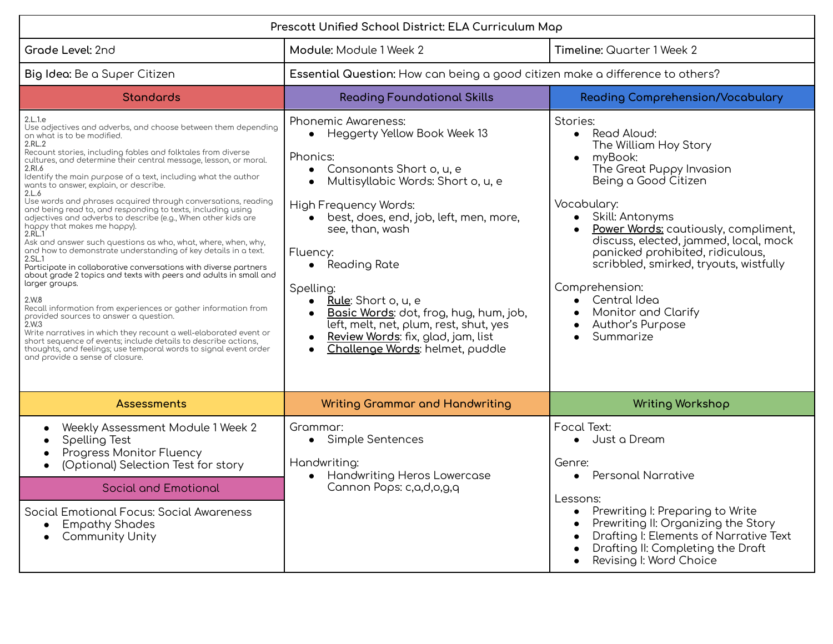| Prescott Unified School District: ELA Curriculum Map                                                                                                                                                                                                                                                                                                                                                                                                                                                                                                                                                                                                                                                                                                                                                                                                                                                                                                                                                                                                                                                                                                                                                                                                                                                              |                                                                                                                                                                                                                                                                                                                                                                                                                                                                                                                                |                                                                                                                                                                                                                                                                                                                                                                                                                             |
|-------------------------------------------------------------------------------------------------------------------------------------------------------------------------------------------------------------------------------------------------------------------------------------------------------------------------------------------------------------------------------------------------------------------------------------------------------------------------------------------------------------------------------------------------------------------------------------------------------------------------------------------------------------------------------------------------------------------------------------------------------------------------------------------------------------------------------------------------------------------------------------------------------------------------------------------------------------------------------------------------------------------------------------------------------------------------------------------------------------------------------------------------------------------------------------------------------------------------------------------------------------------------------------------------------------------|--------------------------------------------------------------------------------------------------------------------------------------------------------------------------------------------------------------------------------------------------------------------------------------------------------------------------------------------------------------------------------------------------------------------------------------------------------------------------------------------------------------------------------|-----------------------------------------------------------------------------------------------------------------------------------------------------------------------------------------------------------------------------------------------------------------------------------------------------------------------------------------------------------------------------------------------------------------------------|
| Grade Level: 2nd                                                                                                                                                                                                                                                                                                                                                                                                                                                                                                                                                                                                                                                                                                                                                                                                                                                                                                                                                                                                                                                                                                                                                                                                                                                                                                  | Module: Module 1 Week 2                                                                                                                                                                                                                                                                                                                                                                                                                                                                                                        | Timeline: Quarter 1 Week 2                                                                                                                                                                                                                                                                                                                                                                                                  |
| Big Idea: Be a Super Citizen                                                                                                                                                                                                                                                                                                                                                                                                                                                                                                                                                                                                                                                                                                                                                                                                                                                                                                                                                                                                                                                                                                                                                                                                                                                                                      | Essential Question: How can being a good citizen make a difference to others?                                                                                                                                                                                                                                                                                                                                                                                                                                                  |                                                                                                                                                                                                                                                                                                                                                                                                                             |
| <b>Standards</b>                                                                                                                                                                                                                                                                                                                                                                                                                                                                                                                                                                                                                                                                                                                                                                                                                                                                                                                                                                                                                                                                                                                                                                                                                                                                                                  | <b>Reading Foundational Skills</b>                                                                                                                                                                                                                                                                                                                                                                                                                                                                                             | <b>Reading Comprehension/Vocabulary</b>                                                                                                                                                                                                                                                                                                                                                                                     |
| 2.L.1.e<br>Use adjectives and adverbs, and choose between them depending<br>on what is to be modified.<br>2.RL.2<br>Recount stories, including fables and folktales from diverse<br>cultures, and determine their central message, lesson, or moral.<br>2.RI.6<br>Identify the main purpose of a text, including what the author<br>wonts to answer, explain, or describe.<br>2.L.6<br>Use words and phrases acquired through conversations, reading<br>and being read to, and responding to texts, including using<br>adjectives and adverbs to describe (e.g., When other kids are<br>happy that makes me happy).<br>2.RL.1<br>Ask and answer such questions as who, what, where, when, why,<br>and how to demonstrate understanding of key details in a text.<br>2.SL.1<br>Participate in collaborative conversations with diverse partners<br>about grade 2 topics and texts with peers and adults in small and<br>larger groups.<br>2.W.8<br>Recall information from experiences or gather information from<br>provided sources to answer a question.<br>2.W.3<br>Write narratives in which they recount a well-elaborated event or<br>short sequence of events; include details to describe actions,<br>thoughts, and feelings; use temporal words to signal event order<br>and provide a sense of closure. | <b>Phonemic Awareness:</b><br>Heggerty Yellow Book Week 13<br>$\bullet$<br>Phonics:<br>Consonants Short o, u, e<br>$\bullet$<br>Multisyllabic Words: Short o, u, e<br>$\bullet$<br>High Frequency Words:<br>best, does, end, job, left, men, more,<br>see, than, wash<br>Fluency:<br>• Reading Rate<br>Spelling:<br>Rule: Short o, u, e<br>$\bullet$<br>Basic Words: dot, frog, hug, hum, job,<br>left, melt, net, plum, rest, shut, yes<br>Review Words: fix, glad, jam, list<br>Challenge Words: helmet, puddle<br>$\bullet$ | Stories:<br>• Read Aloud:<br>The William Hoy Story<br>myBook:<br>$\bullet$<br>The Great Puppy Invasion<br>Being a Good Citizen<br>Vocabulary:<br>• Skill: Antonyms<br>Power Words: cautiously, compliment,<br>discuss, elected, jammed, local, mock<br>panicked prohibited, ridiculous,<br>scribbled, smirked, tryouts, wistfully<br>Comprehension:<br>Central Idea<br>Monitor and Clarify<br>Author's Purpose<br>Summarize |
| <b>Assessments</b>                                                                                                                                                                                                                                                                                                                                                                                                                                                                                                                                                                                                                                                                                                                                                                                                                                                                                                                                                                                                                                                                                                                                                                                                                                                                                                | <b>Writing Grammar and Handwriting</b>                                                                                                                                                                                                                                                                                                                                                                                                                                                                                         | <b>Writing Workshop</b>                                                                                                                                                                                                                                                                                                                                                                                                     |
| Weekly Assessment Module 1 Week 2<br>Spelling Test<br>Progress Monitor Fluency<br>(Optional) Selection Test for story<br>$\bullet$                                                                                                                                                                                                                                                                                                                                                                                                                                                                                                                                                                                                                                                                                                                                                                                                                                                                                                                                                                                                                                                                                                                                                                                | Grammar:<br>Simple Sentences<br>$\bullet$<br>Handwriting:<br>Handwriting Heros Lowercase<br>$\bullet$                                                                                                                                                                                                                                                                                                                                                                                                                          | Focal Text:<br>Just a Dream<br>$\bullet$<br>Genre:<br><b>Personal Narrative</b><br>$\bullet$                                                                                                                                                                                                                                                                                                                                |
| <b>Social and Emotional</b>                                                                                                                                                                                                                                                                                                                                                                                                                                                                                                                                                                                                                                                                                                                                                                                                                                                                                                                                                                                                                                                                                                                                                                                                                                                                                       | Cannon Pops: c,a,d,o,g,q                                                                                                                                                                                                                                                                                                                                                                                                                                                                                                       | Lessons:                                                                                                                                                                                                                                                                                                                                                                                                                    |
| Social Emotional Focus: Social Awareness<br><b>Empathy Shades</b><br>$\bullet$<br><b>Community Unity</b>                                                                                                                                                                                                                                                                                                                                                                                                                                                                                                                                                                                                                                                                                                                                                                                                                                                                                                                                                                                                                                                                                                                                                                                                          |                                                                                                                                                                                                                                                                                                                                                                                                                                                                                                                                | Prewriting I: Preparing to Write<br>Prewriting II: Organizing the Story<br>Drafting I: Elements of Narrative Text<br>Drafting II: Completing the Draft<br>Revising I: Word Choice                                                                                                                                                                                                                                           |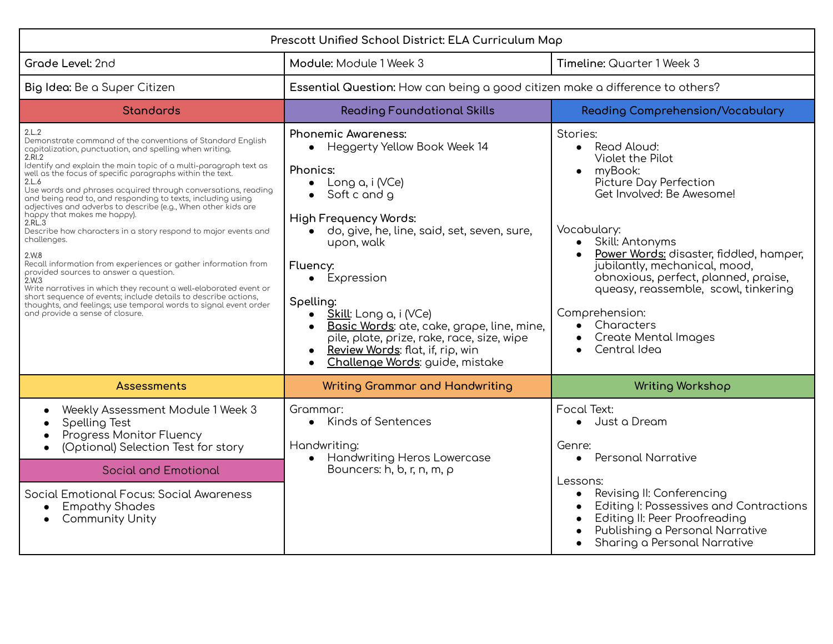| Prescott Unified School District: ELA Curriculum Map                                                                                                                                                                                                                                                                                                                                                                                                                                                                                                                                                                                                                                                                                                                                                                                                                                                                                                                                      |                                                                                                                                                                                                                                                                                                                                                                                                                                                                                                                                       |                                                                                                                                                                                                                                                                                                                                                                                                                                                               |
|-------------------------------------------------------------------------------------------------------------------------------------------------------------------------------------------------------------------------------------------------------------------------------------------------------------------------------------------------------------------------------------------------------------------------------------------------------------------------------------------------------------------------------------------------------------------------------------------------------------------------------------------------------------------------------------------------------------------------------------------------------------------------------------------------------------------------------------------------------------------------------------------------------------------------------------------------------------------------------------------|---------------------------------------------------------------------------------------------------------------------------------------------------------------------------------------------------------------------------------------------------------------------------------------------------------------------------------------------------------------------------------------------------------------------------------------------------------------------------------------------------------------------------------------|---------------------------------------------------------------------------------------------------------------------------------------------------------------------------------------------------------------------------------------------------------------------------------------------------------------------------------------------------------------------------------------------------------------------------------------------------------------|
| Grade Level: 2nd                                                                                                                                                                                                                                                                                                                                                                                                                                                                                                                                                                                                                                                                                                                                                                                                                                                                                                                                                                          | Module: Module 1 Week 3                                                                                                                                                                                                                                                                                                                                                                                                                                                                                                               | Timeline: Quarter 1 Week 3                                                                                                                                                                                                                                                                                                                                                                                                                                    |
| Big Idea: Be a Super Citizen                                                                                                                                                                                                                                                                                                                                                                                                                                                                                                                                                                                                                                                                                                                                                                                                                                                                                                                                                              | Essential Question: How can being a good citizen make a difference to others?                                                                                                                                                                                                                                                                                                                                                                                                                                                         |                                                                                                                                                                                                                                                                                                                                                                                                                                                               |
| <b>Standards</b>                                                                                                                                                                                                                                                                                                                                                                                                                                                                                                                                                                                                                                                                                                                                                                                                                                                                                                                                                                          | <b>Reading Foundational Skills</b>                                                                                                                                                                                                                                                                                                                                                                                                                                                                                                    | <b>Reading Comprehension/Vocabulary</b>                                                                                                                                                                                                                                                                                                                                                                                                                       |
| 2.L.2<br>Demonstrate command of the conventions of Standard English<br>capitalization, punctuation, and spelling when writing.<br>2.RI.2<br>Identify and explain the main topic of a multi-paragraph text as<br>well as the focus of specific paragraphs within the text.<br>2.L.6<br>Use words and phrases acquired through conversations, reading<br>and being read to, and responding to texts, including using<br>adjectives and adverbs to describe (e.g., When other kids are<br>happy that makes me happy).<br>2.RL.3<br>Describe how characters in a story respond to major events and<br>challenges.<br>2.W.8<br>Recall information from experiences or gather information from<br>provided sources to answer a question.<br>2.W.3<br>Write narratives in which they recount a well-elaborated event or<br>short sequence of events; include details to describe actions,<br>thoughts, and feelings; use temporal words to signal event order<br>and provide a sense of closure. | <b>Phonemic Awareness:</b><br>Heggerty Yellow Book Week 14<br>$\bullet$<br>Phonics:<br>Long a, i (VCe)<br>$\bullet$<br>Soft c and g<br>$\bullet$<br><b>High Frequency Words:</b><br>do, give, he, line, said, set, seven, sure,<br>upon, walk<br>Fluency:<br>Expression<br>$\bullet$<br>Spelling:<br>Skill: Long a, i (VCe)<br>$\bullet$<br>Basic Words: ate, cake, grape, line, mine,<br>$\bullet$<br>pile, plate, prize, rake, race, size, wipe<br>Review Words: flat, if, rip, win<br>Challenge Words: guide, mistake<br>$\bullet$ | Stories:<br>• Read Aloud:<br>Violet the Pilot<br>myBook:<br>$\bullet$<br>Picture Day Perfection<br>Get Involved: Be Awesome!<br>Vocabulary:<br>Skill: Antonyms<br>$\bullet$<br>Power Words: disaster, fiddled, hamper,<br>$\bullet$<br>jubilantly, mechanical, mood,<br>obnoxious, perfect, planned, praise,<br>queasy, reassemble, scowl, tinkering<br>Comprehension:<br>Characters<br>$\bullet$<br><b>Create Mental Images</b><br>Central Idea<br>$\bullet$ |
| <b>Assessments</b>                                                                                                                                                                                                                                                                                                                                                                                                                                                                                                                                                                                                                                                                                                                                                                                                                                                                                                                                                                        | <b>Writing Grammar and Handwriting</b>                                                                                                                                                                                                                                                                                                                                                                                                                                                                                                | <b>Writing Workshop</b>                                                                                                                                                                                                                                                                                                                                                                                                                                       |
| Weekly Assessment Module 1 Week 3<br>Spelling Test<br>Progress Monitor Fluency<br>(Optional) Selection Test for story                                                                                                                                                                                                                                                                                                                                                                                                                                                                                                                                                                                                                                                                                                                                                                                                                                                                     | Grammar:<br>• Kinds of Sentences<br>Handwriting:                                                                                                                                                                                                                                                                                                                                                                                                                                                                                      | Focal Text:<br>Just a Dream<br>$\bullet$<br>Genre:<br>• Personal Narrative                                                                                                                                                                                                                                                                                                                                                                                    |
| <b>Social and Emotional</b>                                                                                                                                                                                                                                                                                                                                                                                                                                                                                                                                                                                                                                                                                                                                                                                                                                                                                                                                                               | Handwriting Heros Lowercase<br>$\bullet$<br>Bouncers: $h, b, r, n, m, \rho$                                                                                                                                                                                                                                                                                                                                                                                                                                                           |                                                                                                                                                                                                                                                                                                                                                                                                                                                               |
| Social Emotional Focus: Social Awareness<br><b>Empathy Shades</b><br><b>Community Unity</b>                                                                                                                                                                                                                                                                                                                                                                                                                                                                                                                                                                                                                                                                                                                                                                                                                                                                                               |                                                                                                                                                                                                                                                                                                                                                                                                                                                                                                                                       | Lessons:<br>Revising II: Conferencing<br>$\bullet$<br>Editing I: Possessives and Contractions<br>Editing II: Peer Proofreading<br>Publishing a Personal Narrative<br>Sharing a Personal Narrative                                                                                                                                                                                                                                                             |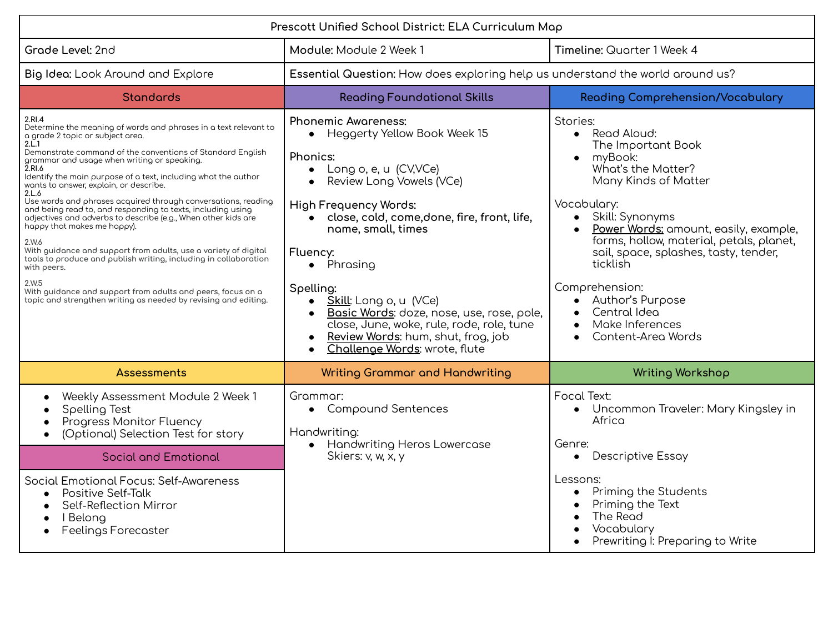| Prescott Unified School District: ELA Curriculum Map                                                                                                                                                                                                                                                                                                                                                                                                                                                                                                                                                                                                                                                                                                                                                                                                                                                          |                                                                                                                                                                                                                                                                                                                                                                                                                                                                                                                                     |                                                                                                                                                                                                                                                                                                                                                                                         |
|---------------------------------------------------------------------------------------------------------------------------------------------------------------------------------------------------------------------------------------------------------------------------------------------------------------------------------------------------------------------------------------------------------------------------------------------------------------------------------------------------------------------------------------------------------------------------------------------------------------------------------------------------------------------------------------------------------------------------------------------------------------------------------------------------------------------------------------------------------------------------------------------------------------|-------------------------------------------------------------------------------------------------------------------------------------------------------------------------------------------------------------------------------------------------------------------------------------------------------------------------------------------------------------------------------------------------------------------------------------------------------------------------------------------------------------------------------------|-----------------------------------------------------------------------------------------------------------------------------------------------------------------------------------------------------------------------------------------------------------------------------------------------------------------------------------------------------------------------------------------|
| Grade Level: 2nd                                                                                                                                                                                                                                                                                                                                                                                                                                                                                                                                                                                                                                                                                                                                                                                                                                                                                              | Module: Module 2 Week 1                                                                                                                                                                                                                                                                                                                                                                                                                                                                                                             | Timeline: Quarter 1 Week 4                                                                                                                                                                                                                                                                                                                                                              |
| Big Idea: Look Around and Explore                                                                                                                                                                                                                                                                                                                                                                                                                                                                                                                                                                                                                                                                                                                                                                                                                                                                             | Essential Question: How does exploring help us understand the world around us?                                                                                                                                                                                                                                                                                                                                                                                                                                                      |                                                                                                                                                                                                                                                                                                                                                                                         |
| <b>Standards</b>                                                                                                                                                                                                                                                                                                                                                                                                                                                                                                                                                                                                                                                                                                                                                                                                                                                                                              | <b>Reading Foundational Skills</b>                                                                                                                                                                                                                                                                                                                                                                                                                                                                                                  | <b>Reading Comprehension/Vocabulary</b>                                                                                                                                                                                                                                                                                                                                                 |
| 2.RI.4<br>Determine the meaning of words and phrases in a text relevant to<br>a grade 2 topic or subject area.<br>2.L.1<br>Demonstrate command of the conventions of Standard English<br>grammar and usage when writing or speaking.<br>2.RI.6<br>Identify the main purpose of a text, including what the author<br>wonts to answer, explain, or describe.<br>2.L.6<br>Use words and phrases acquired through conversations, reading<br>and being read to, and responding to texts, including using<br>adjectives and adverbs to describe (e.g., When other kids are<br>happy that makes me happy).<br>2.W.6<br>With guidance and support from adults, use a variety of digital<br>tools to produce and publish writing, including in collaboration<br>with peers.<br>2.W.5<br>With guidance and support from adults and peers, focus on a<br>topic and strengthen writing as needed by revising and editing. | <b>Phonemic Awareness:</b><br>Heggerty Yellow Book Week 15<br>$\bullet$<br>Phonics:<br>Long o, e, u (CV,VCe)<br>$\bullet$<br>Review Long Vowels (VCe)<br>$\bullet$<br><b>High Frequency Words:</b><br>close, cold, come, done, fire, front, life,<br>name, small, times<br>Fluency:<br>• Phrasing<br>Spelling:<br>Skill: Long o, u (VCe)<br>$\bullet$<br>Basic Words: doze, nose, use, rose, pole,<br>$\bullet$<br>close, June, woke, rule, rode, role, tune<br>Review Words: hum, shut, frog, job<br>Challenge Words: wrote, flute | Stories:<br>• Read Aloud:<br>The Important Book<br>myBook:<br>What's the Matter?<br>Many Kinds of Matter<br>Vocabulary:<br>• Skill: Synonyms<br>Power Words: amount, easily, example,<br>forms, hollow, material, petals, planet,<br>sail, space, splashes, tasty, tender,<br>ticklish<br>Comprehension:<br>• Author's Purpose<br>Central Idea<br>Make Inferences<br>Content-Area Words |
| <b>Assessments</b>                                                                                                                                                                                                                                                                                                                                                                                                                                                                                                                                                                                                                                                                                                                                                                                                                                                                                            | <b>Writing Grammar and Handwriting</b>                                                                                                                                                                                                                                                                                                                                                                                                                                                                                              | <b>Writing Workshop</b>                                                                                                                                                                                                                                                                                                                                                                 |
| Weekly Assessment Module 2 Week 1<br>Spelling Test<br>Progress Monitor Fluency<br>(Optional) Selection Test for story<br>$\bullet$                                                                                                                                                                                                                                                                                                                                                                                                                                                                                                                                                                                                                                                                                                                                                                            | Grammar:<br><b>Compound Sentences</b><br>$\bullet$<br>Handwriting:<br>• Handwriting Heros Lowercase                                                                                                                                                                                                                                                                                                                                                                                                                                 | Focal Text:<br>Uncommon Traveler: Mary Kingsley in<br>Africa<br>Genre:                                                                                                                                                                                                                                                                                                                  |
| <b>Social and Emotional</b>                                                                                                                                                                                                                                                                                                                                                                                                                                                                                                                                                                                                                                                                                                                                                                                                                                                                                   | Skiers: v, w, x, y                                                                                                                                                                                                                                                                                                                                                                                                                                                                                                                  | Descriptive Essay<br>$\bullet$                                                                                                                                                                                                                                                                                                                                                          |
| Social Emotional Focus: Self-Awareness<br><b>Positive Self-Talk</b><br>$\bullet$<br>Self-Reflection Mirror<br>I Belong<br><b>Feelings Forecaster</b>                                                                                                                                                                                                                                                                                                                                                                                                                                                                                                                                                                                                                                                                                                                                                          |                                                                                                                                                                                                                                                                                                                                                                                                                                                                                                                                     | Lessons:<br>Priming the Students<br>Priming the Text<br>The Read<br>Vocabulary<br>Prewriting I: Preparing to Write                                                                                                                                                                                                                                                                      |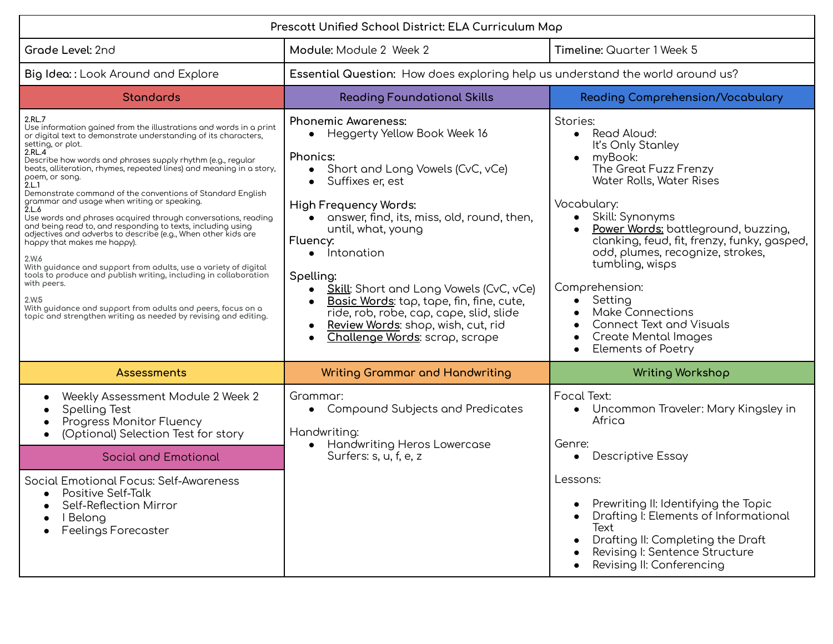| Prescott Unified School District: ELA Curriculum Map                                                                                                                                                                                                                                                                                                                                                                                                                                                                                                                                                                                                                                                                                                                                                                                                                                                                                                                                                             |                                                                                                                                                                                                                                                                                                                                                                                                                                                                                                                                                                          |                                                                                                                                                                                                                                                                                                                                                                                                                                                                     |
|------------------------------------------------------------------------------------------------------------------------------------------------------------------------------------------------------------------------------------------------------------------------------------------------------------------------------------------------------------------------------------------------------------------------------------------------------------------------------------------------------------------------------------------------------------------------------------------------------------------------------------------------------------------------------------------------------------------------------------------------------------------------------------------------------------------------------------------------------------------------------------------------------------------------------------------------------------------------------------------------------------------|--------------------------------------------------------------------------------------------------------------------------------------------------------------------------------------------------------------------------------------------------------------------------------------------------------------------------------------------------------------------------------------------------------------------------------------------------------------------------------------------------------------------------------------------------------------------------|---------------------------------------------------------------------------------------------------------------------------------------------------------------------------------------------------------------------------------------------------------------------------------------------------------------------------------------------------------------------------------------------------------------------------------------------------------------------|
| Grade Level: 2nd                                                                                                                                                                                                                                                                                                                                                                                                                                                                                                                                                                                                                                                                                                                                                                                                                                                                                                                                                                                                 | Module: Module 2 Week 2                                                                                                                                                                                                                                                                                                                                                                                                                                                                                                                                                  | Timeline: Quarter 1 Week 5                                                                                                                                                                                                                                                                                                                                                                                                                                          |
| Big Idea:: Look Around and Explore                                                                                                                                                                                                                                                                                                                                                                                                                                                                                                                                                                                                                                                                                                                                                                                                                                                                                                                                                                               | Essential Question: How does exploring help us understand the world around us?                                                                                                                                                                                                                                                                                                                                                                                                                                                                                           |                                                                                                                                                                                                                                                                                                                                                                                                                                                                     |
| <b>Standards</b>                                                                                                                                                                                                                                                                                                                                                                                                                                                                                                                                                                                                                                                                                                                                                                                                                                                                                                                                                                                                 | <b>Reading Foundational Skills</b>                                                                                                                                                                                                                                                                                                                                                                                                                                                                                                                                       | <b>Reading Comprehension/Vocabulary</b>                                                                                                                                                                                                                                                                                                                                                                                                                             |
| 2.RL.7<br>Use information gained from the illustrations and words in a print<br>or digital text to demonstrate understanding of its characters,<br>setting, or plot.<br>2.RL.4<br>Describe how words and phrases supply rhythm (e.g., regular<br>beats, alliteration, rhymes, repeated lines) and meaning in a story,<br>poem, or song.<br>2.L.1<br>Demonstrate command of the conventions of Standard English<br>grammar and usage when writing or speaking.<br>2.L.6<br>Use words and phrases acquired through conversations, reading<br>and being read to, and responding to texts, including using<br>adjectives and adverbs to describe (e.g., When other kids are<br>happy that makes me happy).<br>2.W.6<br>With guidance and support from adults, use a variety of digital<br>tools to produce and publish writing, including in collaboration<br>with peers.<br>2.W.5<br>With guidance and support from adults and peers, focus on a<br>topic and strengthen writing as needed by revising and editing. | <b>Phonemic Awareness:</b><br>Heggerty Yellow Book Week 16<br>$\bullet$<br>Phonics:<br>Short and Long Vowels (CvC, vCe)<br>$\bullet$<br>Suffixes er, est<br>$\bullet$<br><b>High Frequency Words:</b><br>answer, find, its, miss, old, round, then,<br>until, what, young<br>Fluency:<br>Intonation<br>$\bullet$<br>Spelling:<br><b>Skill:</b> Short and Long Vowels (CvC, vCe)<br>$\bullet$<br>Basic Words: tap, tape, fin, fine, cute,<br>$\bullet$<br>ride, rob, robe, cap, cape, slid, slide<br>Review Words: shop, wish, cut, rid<br>Challenge Words: scrap, scrape | Stories:<br>• Read Aloud:<br>It's Only Stanley<br>myBook:<br>$\bullet$<br>The Great Fuzz Frenzy<br>Water Rolls, Water Rises<br>Vocabulary:<br>• Skill: Synonyms<br>Power Words: battleground, buzzing,<br>clanking, feud, fit, frenzy, funky, gasped,<br>odd, plumes, recognize, strokes,<br>tumbling, wisps<br>Comprehension:<br>Setting<br><b>Make Connections</b><br><b>Connect Text and Visuals</b><br><b>Create Mental Images</b><br><b>Elements of Poetry</b> |
| Assessments                                                                                                                                                                                                                                                                                                                                                                                                                                                                                                                                                                                                                                                                                                                                                                                                                                                                                                                                                                                                      | <b>Writing Grammar and Handwriting</b>                                                                                                                                                                                                                                                                                                                                                                                                                                                                                                                                   | <b>Writing Workshop</b>                                                                                                                                                                                                                                                                                                                                                                                                                                             |
| Weekly Assessment Module 2 Week 2<br>Spelling Test<br>Progress Monitor Fluency<br>(Optional) Selection Test for story<br>$\bullet$                                                                                                                                                                                                                                                                                                                                                                                                                                                                                                                                                                                                                                                                                                                                                                                                                                                                               | Grammar:<br>Compound Subjects and Predicates<br>$\bullet$<br>Handwriting:<br><b>Handwriting Heros Lowercase</b>                                                                                                                                                                                                                                                                                                                                                                                                                                                          | <b>Focal Text:</b><br>Uncommon Traveler: Mary Kingsley in<br>$\bullet$<br>Africa<br>Genre:                                                                                                                                                                                                                                                                                                                                                                          |
| <b>Social and Emotional</b>                                                                                                                                                                                                                                                                                                                                                                                                                                                                                                                                                                                                                                                                                                                                                                                                                                                                                                                                                                                      | Surfers: s, u, f, e, z                                                                                                                                                                                                                                                                                                                                                                                                                                                                                                                                                   | Descriptive Essay                                                                                                                                                                                                                                                                                                                                                                                                                                                   |
| Social Emotional Focus: Self-Awareness<br>Positive Self-Talk<br>Self-Reflection Mirror<br>I Belong<br><b>Feelings Forecaster</b>                                                                                                                                                                                                                                                                                                                                                                                                                                                                                                                                                                                                                                                                                                                                                                                                                                                                                 |                                                                                                                                                                                                                                                                                                                                                                                                                                                                                                                                                                          | Lessons:<br>Prewriting II: Identifying the Topic<br>Drafting I: Elements of Informational<br>Text<br>Drafting II: Completing the Draft<br>Revising I: Sentence Structure<br>Revising II: Conferencing                                                                                                                                                                                                                                                               |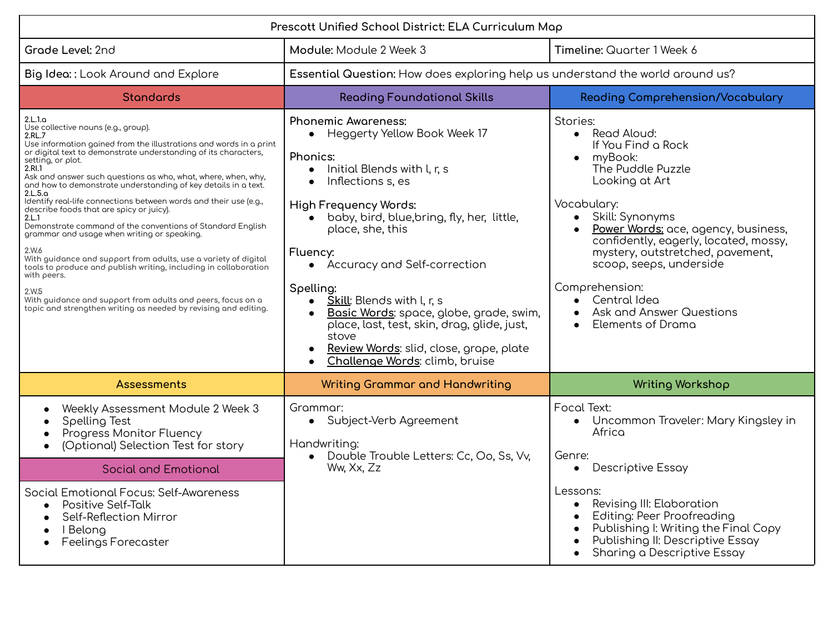| Prescott Unified School District: ELA Curriculum Map                                                                                                                                                                                                                                                                                                                                                                                                                                                                                                                                                                                                                                                                                                                                                                                                                                                                            |                                                                                                                                                                                                                                                                                                                                                                                                                                                                                                                                                                      |                                                                                                                                                                                                                                                                                                                                                                                           |
|---------------------------------------------------------------------------------------------------------------------------------------------------------------------------------------------------------------------------------------------------------------------------------------------------------------------------------------------------------------------------------------------------------------------------------------------------------------------------------------------------------------------------------------------------------------------------------------------------------------------------------------------------------------------------------------------------------------------------------------------------------------------------------------------------------------------------------------------------------------------------------------------------------------------------------|----------------------------------------------------------------------------------------------------------------------------------------------------------------------------------------------------------------------------------------------------------------------------------------------------------------------------------------------------------------------------------------------------------------------------------------------------------------------------------------------------------------------------------------------------------------------|-------------------------------------------------------------------------------------------------------------------------------------------------------------------------------------------------------------------------------------------------------------------------------------------------------------------------------------------------------------------------------------------|
| Grade Level: 2nd                                                                                                                                                                                                                                                                                                                                                                                                                                                                                                                                                                                                                                                                                                                                                                                                                                                                                                                | Module: Module 2 Week 3                                                                                                                                                                                                                                                                                                                                                                                                                                                                                                                                              | Timeline: Quarter 1 Week 6                                                                                                                                                                                                                                                                                                                                                                |
| Big Idea:: Look Around and Explore                                                                                                                                                                                                                                                                                                                                                                                                                                                                                                                                                                                                                                                                                                                                                                                                                                                                                              | Essential Question: How does exploring help us understand the world around us?                                                                                                                                                                                                                                                                                                                                                                                                                                                                                       |                                                                                                                                                                                                                                                                                                                                                                                           |
| <b>Standards</b>                                                                                                                                                                                                                                                                                                                                                                                                                                                                                                                                                                                                                                                                                                                                                                                                                                                                                                                | <b>Reading Foundational Skills</b>                                                                                                                                                                                                                                                                                                                                                                                                                                                                                                                                   | <b>Reading Comprehension/Vocabulary</b>                                                                                                                                                                                                                                                                                                                                                   |
| 2.L.1.a<br>Use collective nouns (e.g., group).<br>2.RL.7<br>Use information gained from the illustrations and words in a print<br>or digital text to demonstrate understanding of its characters,<br>setting, or plot.<br>2.RI.1<br>Ask and answer such questions as who, what, where, when, why,<br>and how to demonstrate understanding of key details in a text.<br>2.L.5.a<br>Identify real-life connections between words and their use (e.g.,<br>describe foods that are spicy or juicy).<br>2.L.1<br>Demonstrate command of the conventions of Standard English<br>grammar and usage when writing or speaking.<br>2.W.6<br>With guidance and support from adults, use a variety of digital<br>tools to produce and publish writing, including in collaboration<br>with peers.<br>2.W.5<br>With guidance and support from adults and peers, focus on a<br>topic and strengthen writing as needed by revising and editing. | <b>Phonemic Awareness:</b><br>Heggerty Yellow Book Week 17<br>$\bullet$<br>Phonics:<br>Initial Blends with l, r, s<br>Inflections s, es<br>$\bullet$<br><b>High Frequency Words:</b><br>baby, bird, blue, bring, fly, her, little,<br>$\bullet$<br>place, she, this<br>Fluency:<br>Accuracy and Self-correction<br>$\bullet$<br>Spelling:<br>Skill: Blends with l, r, s<br>$\bullet$<br>Basic Words: space, globe, grade, swim,<br>place, last, test, skin, drag, glide, just,<br>stove<br>Review Words: slid, close, grape, plate<br>Challenge Words: climb, bruise | Stories:<br>Read Aloud:<br>$\bullet$<br>If You Find a Rock<br>myBook:<br>The Puddle Puzzle<br>Looking at Art<br>Vocabulary:<br>• Skill: Synonyms<br>Power Words: ace, agency, business,<br>confidently, eagerly, located, mossy,<br>mystery, outstretched, povement,<br>scoop, seeps, underside<br>Comprehension:<br>Central Idea<br><b>Ask and Answer Questions</b><br>Elements of Drama |
| <b>Assessments</b>                                                                                                                                                                                                                                                                                                                                                                                                                                                                                                                                                                                                                                                                                                                                                                                                                                                                                                              | <b>Writing Grammar and Handwriting</b>                                                                                                                                                                                                                                                                                                                                                                                                                                                                                                                               | <b>Writing Workshop</b>                                                                                                                                                                                                                                                                                                                                                                   |
| Weekly Assessment Module 2 Week 3<br>Spelling Test<br>Progress Monitor Fluency<br>(Optional) Selection Test for story                                                                                                                                                                                                                                                                                                                                                                                                                                                                                                                                                                                                                                                                                                                                                                                                           | Grammar:<br>Subject-Verb Agreement<br>$\bullet$<br>Handwriting:<br>Double Trouble Letters: Cc, Oo, Ss, Vv,                                                                                                                                                                                                                                                                                                                                                                                                                                                           | Focal Text:<br>• Uncommon Traveler: Mary Kingsley in<br>Africa<br>Genre:                                                                                                                                                                                                                                                                                                                  |
| <b>Social and Emotional</b>                                                                                                                                                                                                                                                                                                                                                                                                                                                                                                                                                                                                                                                                                                                                                                                                                                                                                                     | Ww, Xx, Zz                                                                                                                                                                                                                                                                                                                                                                                                                                                                                                                                                           | <b>Descriptive Essay</b><br>$\bullet$                                                                                                                                                                                                                                                                                                                                                     |
| Social Emotional Focus: Self-Awareness<br><b>Positive Self-Talk</b><br>Self-Reflection Mirror<br>I Belong<br><b>Feelings Forecaster</b>                                                                                                                                                                                                                                                                                                                                                                                                                                                                                                                                                                                                                                                                                                                                                                                         |                                                                                                                                                                                                                                                                                                                                                                                                                                                                                                                                                                      | Lessons:<br>Revising III: Elaboration<br>Editing: Peer Proofreading<br>Publishing I: Writing the Final Copy<br>Publishing II: Descriptive Essay<br>Sharing a Descriptive Essay                                                                                                                                                                                                            |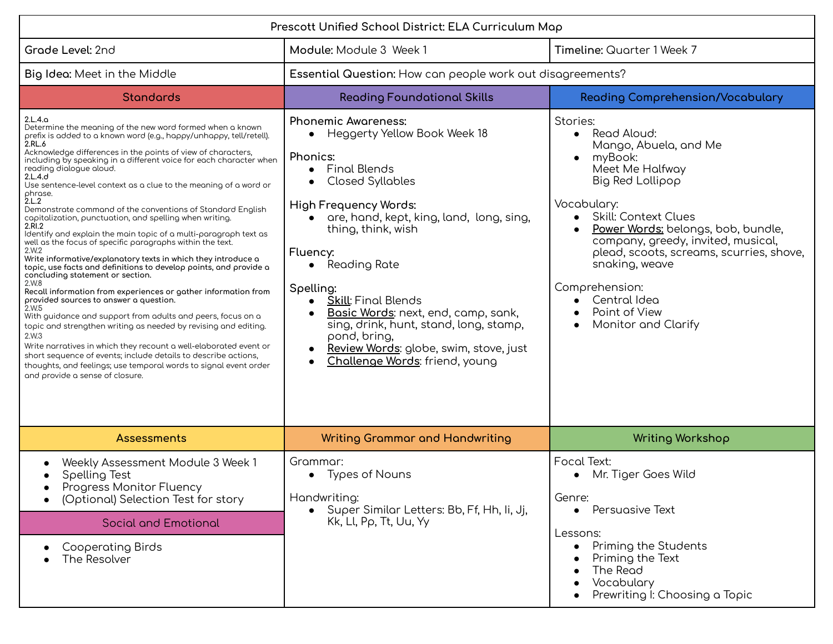| Prescott Unified School District: ELA Curriculum Map                                                                                                                                                                                                                                                                                                                                                                                                                                                                                                                                                                                                                                                                                                                                                                                                                                                                                                                                                                                                                                                                                                                                                                                                                                                                                                                                                    |                                                                                                                                                                                                                                                                                                                                                                                                                                                                                                             |                                                                                                                                                                                                                                                                                                                                                                                           |
|---------------------------------------------------------------------------------------------------------------------------------------------------------------------------------------------------------------------------------------------------------------------------------------------------------------------------------------------------------------------------------------------------------------------------------------------------------------------------------------------------------------------------------------------------------------------------------------------------------------------------------------------------------------------------------------------------------------------------------------------------------------------------------------------------------------------------------------------------------------------------------------------------------------------------------------------------------------------------------------------------------------------------------------------------------------------------------------------------------------------------------------------------------------------------------------------------------------------------------------------------------------------------------------------------------------------------------------------------------------------------------------------------------|-------------------------------------------------------------------------------------------------------------------------------------------------------------------------------------------------------------------------------------------------------------------------------------------------------------------------------------------------------------------------------------------------------------------------------------------------------------------------------------------------------------|-------------------------------------------------------------------------------------------------------------------------------------------------------------------------------------------------------------------------------------------------------------------------------------------------------------------------------------------------------------------------------------------|
| Grade Level: 2nd                                                                                                                                                                                                                                                                                                                                                                                                                                                                                                                                                                                                                                                                                                                                                                                                                                                                                                                                                                                                                                                                                                                                                                                                                                                                                                                                                                                        | Module: Module 3 Week 1                                                                                                                                                                                                                                                                                                                                                                                                                                                                                     | Timeline: Quarter 1 Week 7                                                                                                                                                                                                                                                                                                                                                                |
| Big Idea: Meet in the Middle                                                                                                                                                                                                                                                                                                                                                                                                                                                                                                                                                                                                                                                                                                                                                                                                                                                                                                                                                                                                                                                                                                                                                                                                                                                                                                                                                                            | Essential Question: How can people work out disagreements?                                                                                                                                                                                                                                                                                                                                                                                                                                                  |                                                                                                                                                                                                                                                                                                                                                                                           |
| <b>Standards</b>                                                                                                                                                                                                                                                                                                                                                                                                                                                                                                                                                                                                                                                                                                                                                                                                                                                                                                                                                                                                                                                                                                                                                                                                                                                                                                                                                                                        | <b>Reading Foundational Skills</b>                                                                                                                                                                                                                                                                                                                                                                                                                                                                          | <b>Reading Comprehension/Vocabulary</b>                                                                                                                                                                                                                                                                                                                                                   |
| 2.L.4.a<br>Determine the meaning of the new word formed when a known<br>prefix is added to a known word (e.g., happy/unhappy, tell/retell).<br>2.RL.6<br>Acknowledge differences in the points of view of characters,<br>including by speaking in a different voice for each character when<br>reading dialogue aloud.<br>2.L.4.d<br>Use sentence-level context as a clue to the meaning of a word or<br>phrase.<br>2.L.2<br>Demonstrate command of the conventions of Standard English<br>capitalization, punctuation, and spelling when writing.<br>2.RI.2<br>Identify and explain the main topic of a multi-paragraph text as<br>well as the focus of specific paragraphs within the text.<br>2.W.2<br>Write informative/explanatory texts in which they introduce a<br>topic, use facts and definitions to develop points, and provide a<br>concluding statement or section.<br>2.W.8<br>Recall information from experiences or gather information from<br>provided sources to answer a question.<br>2.W.5<br>With guidance and support from adults and peers, focus on a<br>topic and strengthen writing as needed by revising and editing.<br>2.W.3<br>Write narratives in which they recount a well-elaborated event or<br>short sequence of events; include details to describe actions,<br>thoughts, and feelings; use temporal words to signal event order<br>and provide a sense of closure. | <b>Phonemic Awareness:</b><br>Heggerty Yellow Book Week 18<br>Phonics:<br>Final Blends<br>$\bullet$<br><b>Closed Syllables</b><br>$\bullet$<br><b>High Frequency Words:</b><br>are, hand, kept, king, land, long, sing,<br>thing, think, wish<br>Fluency:<br>$\bullet$ Reading Rate<br>Spelling:<br><b>Skill: Final Blends</b><br>Basic Words: next, end, camp, sank,<br>sing, drink, hunt, stand, long, stamp,<br>pond, bring,<br>Review Words: globe, swim, stove, just<br>Challenge Words: friend, young | Stories:<br>• Read Aloud:<br>Mango, Abuela, and Me<br>myBook:<br>$\bullet$<br>Meet Me Halfway<br>Big Red Lollipop<br>Vocabulary:<br>Skill: Context Clues<br>$\bullet$<br>Power Words: belongs, bob, bundle,<br>company, greedy, invited, musical,<br>plead, scoots, screams, scurries, shove,<br>snaking, weave<br>Comprehension:<br>Central Idea<br>Point of View<br>Monitor and Clarify |
| Assessments                                                                                                                                                                                                                                                                                                                                                                                                                                                                                                                                                                                                                                                                                                                                                                                                                                                                                                                                                                                                                                                                                                                                                                                                                                                                                                                                                                                             | <b>Writing Grammar and Handwriting</b>                                                                                                                                                                                                                                                                                                                                                                                                                                                                      | <b>Writing Workshop</b>                                                                                                                                                                                                                                                                                                                                                                   |
| Weekly Assessment Module 3 Week 1<br>Spelling Test<br>Progress Monitor Fluency<br>(Optional) Selection Test for story                                                                                                                                                                                                                                                                                                                                                                                                                                                                                                                                                                                                                                                                                                                                                                                                                                                                                                                                                                                                                                                                                                                                                                                                                                                                                   | Grammar:<br>• Types of Nouns<br>Handwriting:<br>• Super Similar Letters: Bb, Ff, Hh, Ii, Jj,                                                                                                                                                                                                                                                                                                                                                                                                                | Focal Text:<br>• Mr. Tiger Goes Wild<br>Genre:<br>Persuasive Text<br>$\bullet$                                                                                                                                                                                                                                                                                                            |
| <b>Social and Emotional</b>                                                                                                                                                                                                                                                                                                                                                                                                                                                                                                                                                                                                                                                                                                                                                                                                                                                                                                                                                                                                                                                                                                                                                                                                                                                                                                                                                                             | Kk, Ll, Pp, Tt, Uu, Yy                                                                                                                                                                                                                                                                                                                                                                                                                                                                                      | Lessons:                                                                                                                                                                                                                                                                                                                                                                                  |
| <b>Cooperating Birds</b><br>The Resolver                                                                                                                                                                                                                                                                                                                                                                                                                                                                                                                                                                                                                                                                                                                                                                                                                                                                                                                                                                                                                                                                                                                                                                                                                                                                                                                                                                |                                                                                                                                                                                                                                                                                                                                                                                                                                                                                                             | Priming the Students<br>Priming the Text<br>The Read<br>Vocabulary<br>Prewriting I: Choosing a Topic                                                                                                                                                                                                                                                                                      |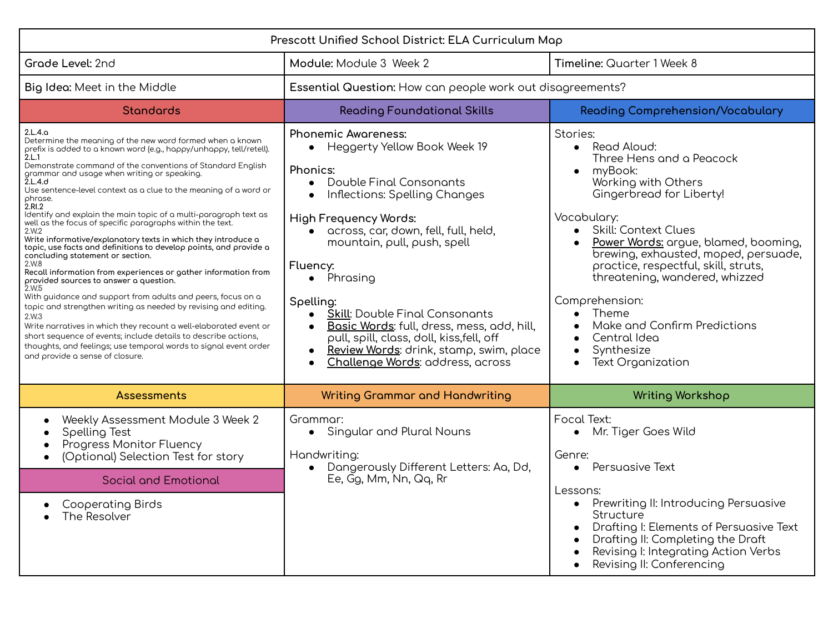| Prescott Unified School District: ELA Curriculum Map                                                                                                                                                                                                                                                                                                                                                                                                                                                                                                                                                                                                                                                                                                                                                                                                                                                                                                                                                                                                                                                                                                                                                             |                                                                                                                                                                                                                                                                                                                                                                                                                                                                                                                                            |                                                                                                                                                                                                                                                                                                                                                                                                                                                                                   |
|------------------------------------------------------------------------------------------------------------------------------------------------------------------------------------------------------------------------------------------------------------------------------------------------------------------------------------------------------------------------------------------------------------------------------------------------------------------------------------------------------------------------------------------------------------------------------------------------------------------------------------------------------------------------------------------------------------------------------------------------------------------------------------------------------------------------------------------------------------------------------------------------------------------------------------------------------------------------------------------------------------------------------------------------------------------------------------------------------------------------------------------------------------------------------------------------------------------|--------------------------------------------------------------------------------------------------------------------------------------------------------------------------------------------------------------------------------------------------------------------------------------------------------------------------------------------------------------------------------------------------------------------------------------------------------------------------------------------------------------------------------------------|-----------------------------------------------------------------------------------------------------------------------------------------------------------------------------------------------------------------------------------------------------------------------------------------------------------------------------------------------------------------------------------------------------------------------------------------------------------------------------------|
| Grade Level: 2nd                                                                                                                                                                                                                                                                                                                                                                                                                                                                                                                                                                                                                                                                                                                                                                                                                                                                                                                                                                                                                                                                                                                                                                                                 | Module: Module 3 Week 2                                                                                                                                                                                                                                                                                                                                                                                                                                                                                                                    | Timeline: Quarter 1 Week 8                                                                                                                                                                                                                                                                                                                                                                                                                                                        |
| Big Idea: Meet in the Middle                                                                                                                                                                                                                                                                                                                                                                                                                                                                                                                                                                                                                                                                                                                                                                                                                                                                                                                                                                                                                                                                                                                                                                                     | Essential Question: How can people work out disagreements?                                                                                                                                                                                                                                                                                                                                                                                                                                                                                 |                                                                                                                                                                                                                                                                                                                                                                                                                                                                                   |
| <b>Standards</b>                                                                                                                                                                                                                                                                                                                                                                                                                                                                                                                                                                                                                                                                                                                                                                                                                                                                                                                                                                                                                                                                                                                                                                                                 | <b>Reading Foundational Skills</b>                                                                                                                                                                                                                                                                                                                                                                                                                                                                                                         | <b>Reading Comprehension/Vocabulary</b>                                                                                                                                                                                                                                                                                                                                                                                                                                           |
| 2.L.4.9<br>Determine the meaning of the new word formed when a known<br>prefix is added to a known word (e.g., happy/unhappy, tell/retell).<br>2.L.1<br>Demonstrate command of the conventions of Standard English<br>grammar and usage when writing or speaking.<br>2.L.4.d<br>Use sentence-level context as a clue to the meaning of a word or<br>ohrase.<br>2.RI.2<br>ldentify and explain the main topic of a multi-paragraph text as<br>well as the focus of specific paragraphs within the text.<br>2.W.2<br>Write informative/explanatory texts in which they introduce a<br>topic, use facts and definitions to develop points, and provide a<br>concluding statement or section.<br>2.W.8<br>Recall information from experiences or gather information from<br>provided sources to answer a question.<br>2.W.5<br>With guidance and support from adults and peers, focus on a<br>topic and strengthen writing as needed by revising and editing.<br>2.W.3<br>Write narratives in which they recount a well-elaborated event or<br>short sequence of events; include details to describe actions,<br>thoughts, and feelings; use temporal words to signal event order<br>and provide a sense of closure. | <b>Phonemic Awareness:</b><br>Heggerty Yellow Book Week 19<br>Phonics:<br>Double Final Consonants<br>Inflections: Spelling Changes<br>$\bullet$<br><b>High Frequency Words:</b><br>· across, car, down, fell, full, held,<br>mountain, pull, push, spell<br>Fluency:<br>Phrasing<br>$\bullet$<br>Spelling:<br><b>Skill:</b> Double Final Consonants<br>Basic Words: full, dress, mess, add, hill,<br>pull, spill, class, doll, kiss, fell, off<br>Review Words: drink, stamp, swim, place<br>Challenge Words: address, across<br>$\bullet$ | Stories:<br>Read Aloud:<br>$\bullet$<br>Three Hens and a Peacock<br>myBook:<br>$\bullet$<br>Working with Others<br>Gingerbread for Liberty!<br>Vocabulary:<br>Skill: Context Clues<br>$\bullet$<br>Power Words: argue, blamed, booming,<br>brewing, exhausted, moped, persuade,<br>proctice, respectful, skill, struts,<br>threatening, wandered, whizzed<br>Comprehension:<br>$\bullet$ Theme<br>Make and Confirm Predictions<br>Central Idea<br>Synthesize<br>Text Organization |
| <b>Assessments</b>                                                                                                                                                                                                                                                                                                                                                                                                                                                                                                                                                                                                                                                                                                                                                                                                                                                                                                                                                                                                                                                                                                                                                                                               | <b>Writing Grammar and Handwriting</b>                                                                                                                                                                                                                                                                                                                                                                                                                                                                                                     | <b>Writing Workshop</b>                                                                                                                                                                                                                                                                                                                                                                                                                                                           |
| Weekly Assessment Module 3 Week 2<br>Spelling Test<br>Progress Monitor Fluency<br>(Optional) Selection Test for story                                                                                                                                                                                                                                                                                                                                                                                                                                                                                                                                                                                                                                                                                                                                                                                                                                                                                                                                                                                                                                                                                            | Grammar:<br>Singular and Plural Nouns<br>$\bullet$<br>Handwriting:<br>Dangerously Different Letters: Aa, Dd,                                                                                                                                                                                                                                                                                                                                                                                                                               | Focal Text:<br>• Mr. Tiger Goes Wild<br>Genre:<br>Persuasive Text                                                                                                                                                                                                                                                                                                                                                                                                                 |
| <b>Social and Emotional</b>                                                                                                                                                                                                                                                                                                                                                                                                                                                                                                                                                                                                                                                                                                                                                                                                                                                                                                                                                                                                                                                                                                                                                                                      | Ee, Gg, Mm, Nn, Qq, Rr                                                                                                                                                                                                                                                                                                                                                                                                                                                                                                                     | Lessons:                                                                                                                                                                                                                                                                                                                                                                                                                                                                          |
| <b>Cooperating Birds</b><br>The Resolver                                                                                                                                                                                                                                                                                                                                                                                                                                                                                                                                                                                                                                                                                                                                                                                                                                                                                                                                                                                                                                                                                                                                                                         |                                                                                                                                                                                                                                                                                                                                                                                                                                                                                                                                            | Prewriting II: Introducing Persuasive<br>$\bullet$<br>Structure<br>Drafting I: Elements of Persuasive Text<br>Drafting II: Completing the Draft<br>Revising I: Integrating Action Verbs<br>Revising II: Conferencing                                                                                                                                                                                                                                                              |